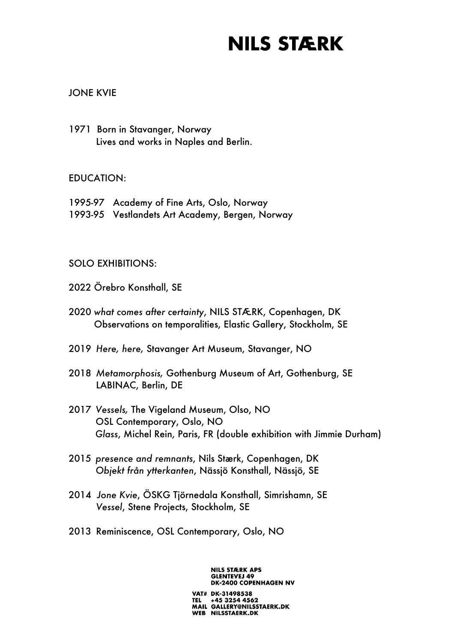### JONE KVIE

1971 Born in Stavanger, Norway Lives and works in Naples and Berlin.

#### EDUCATION:

- 1995-97 Academy of Fine Arts, Oslo, Norway
- 1993-95 Vestlandets Art Academy, Bergen, Norway

### SOLO EXHIBITIONS:

- 2022 Örebro Konsthall, SE
- 2020 *what comes after certainty*, NILS STÆRK, Copenhagen, DK Observations on temporalities, Elastic Gallery, Stockholm, SE
- 2019 *Here, here,* Stavanger Art Museum, Stavanger, NO
- 2018 *Metamorphosis,* Gothenburg Museum of Art, Gothenburg, SE LABINAC, Berlin, DE
- 2017 *Vessels,* The Vigeland Museum, Olso, NO OSL Contemporary, Oslo, NO *Glass*, Michel Rein, Paris, FR (double exhibition with Jimmie Durham)
- 2015 *presence and remnants*, Nils Stærk, Copenhagen, DK *Objekt från ytterkanten*, Nässjö Konsthall, Nässjö, SE
- 2014 *Jone Kvie*, ÖSKG Tjörnedala Konsthall, Simrishamn, SE *Vessel*, Stene Projects, Stockholm, SE
- 2013 Reminiscence, OSL Contemporary, Oslo, NO

#### **NILS STÆRK APS GLENTEVEJ 49 DK-2400 COPENHAGEN NV**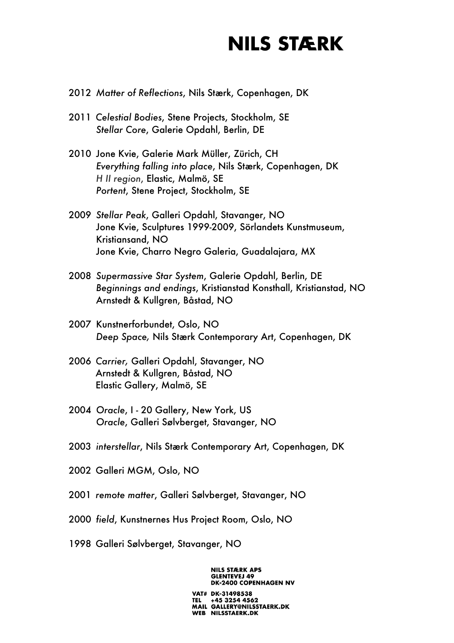- 2012 *Matter of Reflections*, Nils Stærk, Copenhagen, DK
- 2011 *Celestial Bodies*, Stene Projects, Stockholm, SE *Stellar Core*, Galerie Opdahl, Berlin, DE
- 2010 Jone Kvie, Galerie Mark Müller, Zürich, CH *Everything falling into place*, Nils Stærk, Copenhagen, DK *H II region*, Elastic, Malmö, SE *Portent*, Stene Project, Stockholm, SE
- 2009 *Stellar Peak*, Galleri Opdahl, Stavanger, NO Jone Kvie, Sculptures 1999-2009, Sörlandets Kunstmuseum, Kristiansand, NO Jone Kvie, Charro Negro Galeria, Guadalajara, MX
- 2008 *Supermassive Star System*, Galerie Opdahl, Berlin, DE *Beginnings and endings*, Kristianstad Konsthall, Kristianstad, NO Arnstedt & Kullgren, Båstad, NO
- 2007 Kunstnerforbundet, Oslo, NO *Deep Space,* Nils Stærk Contemporary Art, Copenhagen, DK
- 2006 *Carrier,* Galleri Opdahl, Stavanger, NO Arnstedt & Kullgren, Båstad, NO Elastic Gallery, Malmö, SE
- 2004 *Oracle*, I 20 Gallery, New York, US *Oracle*, Galleri Sølvberget, Stavanger, NO
- 2003 *interstellar*, Nils Stærk Contemporary Art, Copenhagen, DK
- 2002 Galleri MGM, Oslo, NO
- 2001 *remote matter*, Galleri Sølvberget, Stavanger, NO
- 2000 *field*, Kunstnernes Hus Project Room, Oslo, NO
- 1998 Galleri Sølvberget, Stavanger, NO

**NILS STÆRK APS GLENTEVEJ 49 DK-2400 COPENHAGEN NV**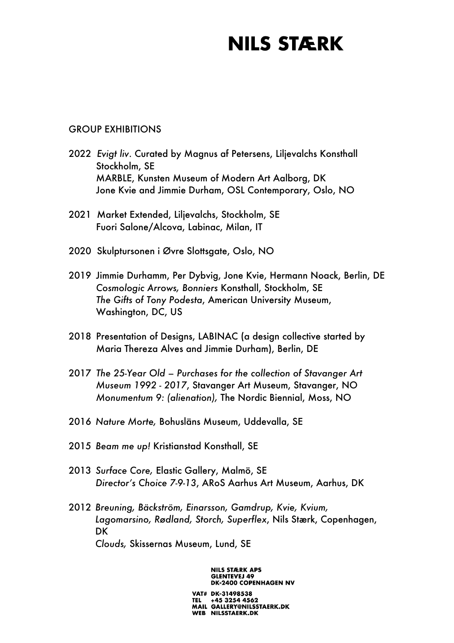#### GROUP EXHIBITIONS

- 2022 *Evigt liv*. Curated by Magnus af Petersens, Liljevalchs Konsthall Stockholm, SE MARBLE, Kunsten Museum of Modern Art Aalborg, DK Jone Kvie and Jimmie Durham, OSL Contemporary, Oslo, NO
- 2021 Market Extended, Liljevalchs, Stockholm, SE Fuori Salone/Alcova, Labinac, Milan, IT
- 2020 Skulptursonen i Øvre Slottsgate, Oslo, NO
- 2019 Jimmie Durhamm, Per Dybvig, Jone Kvie, Hermann Noack, Berlin, DE *Cosmologic Arrows, Bonniers* Konsthall, Stockholm, SE *The Gifts of Tony Podesta*, American University Museum, Washington, DC, US
- 2018 Presentation of Designs, LABINAC (a design collective started by Maria Thereza Alves and Jimmie Durham), Berlin, DE
- 2017 *The 25-Year Old – Purchases for the collection of Stavanger Art Museum 1992 - 2017*, Stavanger Art Museum, Stavanger, NO *Monumentum 9: (alienation),* The Nordic Biennial, Moss, NO
- 2016 *Nature Morte,* Bohusläns Museum, Uddevalla, SE
- 2015 *Beam me up!* Kristianstad Konsthall, SE
- 2013 *Surface Core,* Elastic Gallery, Malmö, SE *Director's Choice 7-9-13*, ARoS Aarhus Art Museum, Aarhus, DK
- 2012 *Breuning, Bäckström, Einarsson, Gamdrup, Kvie, Kvium, Lagomarsino, Rødland, Storch, Superflex*, Nils Stærk, Copenhagen, DK *Clouds,* Skissernas Museum, Lund, SE

**NILS STÆRK APS GLENTEVEJ 49 DK-2400 COPENHAGEN NV**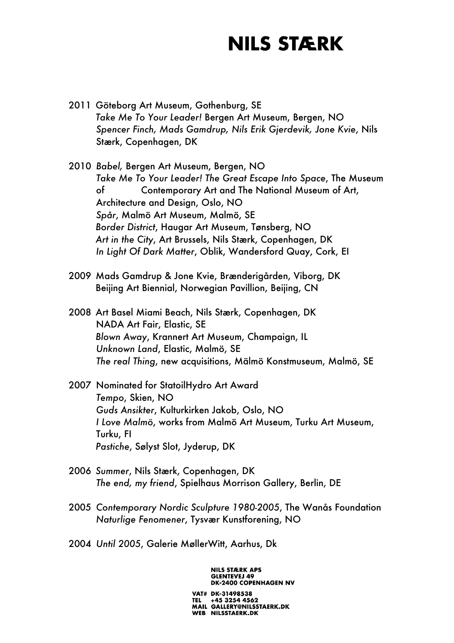- 2011 Göteborg Art Museum, Gothenburg, SE *Take Me To Your Leader!* Bergen Art Museum, Bergen, NO *Spencer Finch, Mads Gamdrup, Nils Erik Gjerdevik, Jone Kvie*, Nils Stærk, Copenhagen, DK
- 2010 *Babel,* Bergen Art Museum, Bergen, NO *Take Me To Your Leader! The Great Escape Into Space*, The Museum of Contemporary Art and The National Museum of Art, Architecture and Design, Oslo, NO *Spår*, Malmö Art Museum, Malmö, SE *Border District*, Haugar Art Museum, Tønsberg, NO *Art in the City*, Art Brussels, Nils Stærk, Copenhagen, DK *In Light Of Dark Matter*, Oblik, Wandersford Quay, Cork, EI
- 2009 Mads Gamdrup & Jone Kvie, Brænderigården, Viborg, DK Beijing Art Biennial, Norwegian Pavillion, Beijing, CN
- 2008 Art Basel Miami Beach, Nils Stærk, Copenhagen, DK NADA Art Fair, Elastic, SE *Blown Away*, Krannert Art Museum, Champaign, IL *Unknown Land*, Elastic, Malmö, SE *The real Thing*, new acquisitions, Mälmö Konstmuseum, Malmö, SE
- 2007 Nominated for StatoilHydro Art Award *Tempo*, Skien, NO *Guds Ansikter*, Kulturkirken Jakob, Oslo, NO *I Love Malmö*, works from Malmö Art Museum, Turku Art Museum, Turku, FI *Pastiche*, Sølyst Slot, Jyderup, DK
- 2006 *Summer*, Nils Stærk, Copenhagen, DK *The end, my friend*, Spielhaus Morrison Gallery, Berlin, DE
- 2005 *Contemporary Nordic Sculpture 1980-2005*, The Wanås Foundation *Naturlige Fenomener*, Tysvær Kunstforening, NO
- 2004 *Until 2005*, Galerie MøllerWitt, Aarhus, Dk

**NILS STÆRK APS GLENTEVEJ 49 DK-2400 COPENHAGEN NV**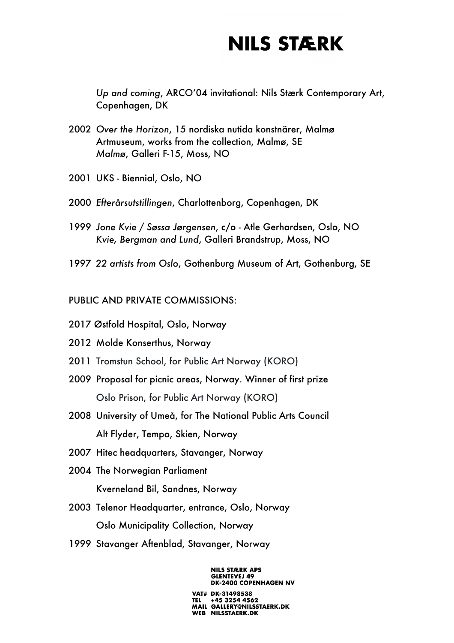*Up and coming*, ARCO'04 invitational: Nils Stærk Contemporary Art, Copenhagen, DK

- 2002 *Over the Horizon*, 15 nordiska nutida konstnärer, Malmø Artmuseum, works from the collection, Malmø, SE *Malmø*, Galleri F-15, Moss, NO
- 2001 UKS Biennial, Oslo, NO
- 2000 *Efterårsutstillingen*, Charlottenborg, Copenhagen, DK
- 1999 *Jone Kvie / Søssa Jørgensen*, c/o Atle Gerhardsen, Oslo, NO *Kvie, Bergman and Lund*, Galleri Brandstrup, Moss, NO
- 1997 *22 artists from Oslo*, Gothenburg Museum of Art, Gothenburg, SE

#### PUBLIC AND PRIVATE COMMISSIONS:

- 2017 Østfold Hospital, Oslo, Norway
- 2012 Molde Konserthus, Norway
- 2011 Tromstun School, for Public Art Norway (KORO)
- 2009 Proposal for picnic areas, Norway. Winner of first prize Oslo Prison, for Public Art Norway (KORO)
- 2008 University of Umeå, for The National Public Arts Council Alt Flyder, Tempo, Skien, Norway
- 2007 Hitec headquarters, Stavanger, Norway
- 2004 The Norwegian Parliament Kverneland Bil, Sandnes, Norway
- 2003 Telenor Headquarter, entrance, Oslo, Norway Oslo Municipality Collection, Norway
- 1999 Stavanger Aftenblad, Stavanger, Norway

#### **NILS STÆRK APS GLENTEVEJ 49 DK-2400 COPENHAGEN NV**